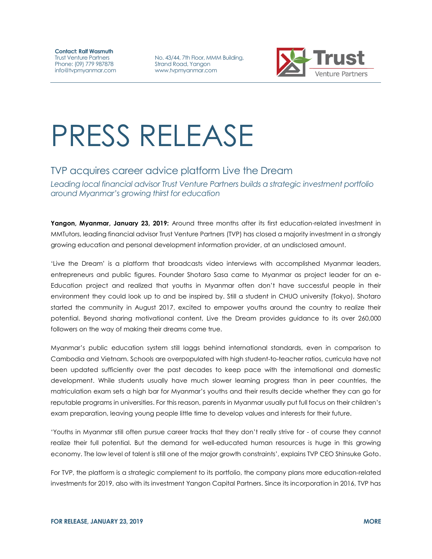**Contact: Ralf Wasmuth** Trust Venture Partners Phone: (09) 779 987878 info@tvpmyanmar.com

No. 43/44, 7th Floor, MMM Building, Strand Road, Yangon www.tvpmyanmar.com



## PRESS RELEASE

## TVP acquires career advice platform Live the Dream

*Leading local financial advisor Trust Venture Partners builds a strategic investment portfolio around Myanmar's growing thirst for education*

**Yangon, Myanmar, January 23, 2019:** Around three months after its first education-related investment in MMTutors, leading financial advisor Trust Venture Partners (TVP) has closed a majority investment in a strongly growing education and personal development information provider, at an undisclosed amount.

'Live the Dream' is a platform that broadcasts video interviews with accomplished Myanmar leaders, entrepreneurs and public figures. Founder Shotaro Sasa came to Myanmar as project leader for an e-Education project and realized that youths in Myanmar often don't have successful people in their environment they could look up to and be inspired by. Still a student in CHUO university (Tokyo), Shotaro started the community in August 2017, excited to empower youths around the country to realize their potential. Beyond sharing motivational content, Live the Dream provides guidance to its over 260,000 followers on the way of making their dreams come true.

Myanmar's public education system still laggs behind international standards, even in comparison to Cambodia and Vietnam. Schools are overpopulated with high student-to-teacher ratios, curricula have not been updated sufficiently over the past decades to keep pace with the international and domestic development. While students usually have much slower learning progress than in peer countries, the matriculation exam sets a high bar for Myanmar's youths and their results decide whether they can go for reputable programs in universities. For this reason, parents in Myanmar usually put full focus on their children's exam preparation, leaving young people little time to develop values and interests for their future.

'Youths in Myanmar still often pursue career tracks that they don't really strive for - of course they cannot realize their full potential. But the demand for well-educated human resources is huge in this growing economy. The low level of talent is still one of the major growth constraints', explains TVP CEO Shinsuke Goto.

For TVP, the platform is a strategic complement to its portfolio, the company plans more education-related investments for 2019, also with its investment Yangon Capital Partners. Since its incorporation in 2016, TVP has